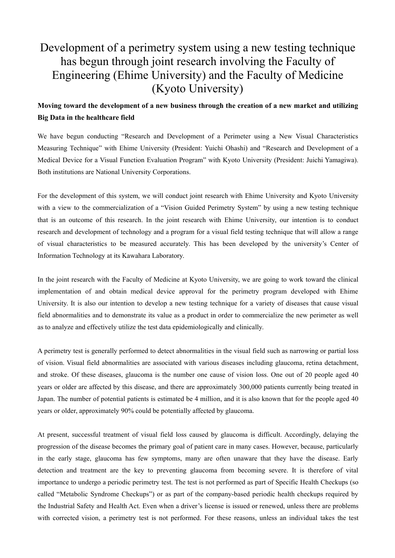## Development of a perimetry system using a new testing technique has begun through joint research involving the Faculty of Engineering (Ehime University) and the Faculty of Medicine (Kyoto University)

## **Moving toward the development of a new business through the creation of a new market and utilizing Big Data in the healthcare field**

We have begun conducting "Research and Development of a Perimeter using a New Visual Characteristics Measuring Technique" with Ehime University (President: Yuichi Ohashi) and "Research and Development of a Medical Device for a Visual Function Evaluation Program" with Kyoto University (President: Juichi Yamagiwa). Both institutions are National University Corporations.

For the development of this system, we will conduct joint research with Ehime University and Kyoto University with a view to the commercialization of a "Vision Guided Perimetry System" by using a new testing technique that is an outcome of this research. In the joint research with Ehime University, our intention is to conduct research and development of technology and a program for a visual field testing technique that will allow a range of visual characteristics to be measured accurately. This has been developed by the university's Center of Information Technology at its Kawahara Laboratory.

In the joint research with the Faculty of Medicine at Kyoto University, we are going to work toward the clinical implementation of and obtain medical device approval for the perimetry program developed with Ehime University. It is also our intention to develop a new testing technique for a variety of diseases that cause visual field abnormalities and to demonstrate its value as a product in order to commercialize the new perimeter as well as to analyze and effectively utilize the test data epidemiologically and clinically.

A perimetry test is generally performed to detect abnormalities in the visual field such as narrowing or partial loss of vision. Visual field abnormalities are associated with various diseases including glaucoma, retina detachment, and stroke. Of these diseases, glaucoma is the number one cause of vision loss. One out of 20 people aged 40 years or older are affected by this disease, and there are approximately 300,000 patients currently being treated in Japan. The number of potential patients is estimated be 4 million, and it is also known that for the people aged 40 years or older, approximately 90% could be potentially affected by glaucoma.

At present, successful treatment of visual field loss caused by glaucoma is difficult. Accordingly, delaying the progression of the disease becomes the primary goal of patient care in many cases. However, because, particularly in the early stage, glaucoma has few symptoms, many are often unaware that they have the disease.Early detection and treatment are the key to preventing glaucoma from becoming severe. It is therefore of vital importance to undergo a periodic perimetry test. The test is not performed as part of Specific Health Checkups (so called "Metabolic Syndrome Checkups") or as part of the company-based periodic health checkups required by the Industrial Safety and Health Act. Even when a driver's license isissued or renewed, unless there are problems with corrected vision, a perimetry test is not performed. For these reasons, unless an individual takes the test